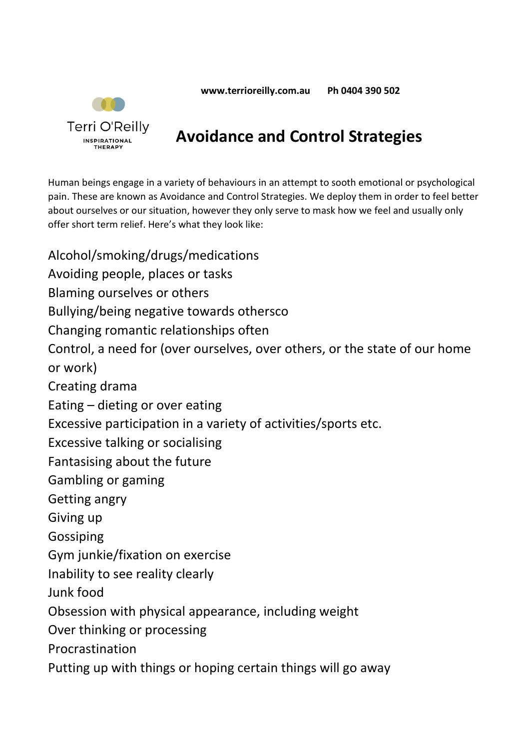**ww[w.terrioreilly.com.au](http://www.terrioreilly.com.au/) Ph 0404 390 502**



## **Avoidance and Control Strategies**

Human beings engage in a variety of behaviours in an attempt to sooth emotional or psychological pain. These are known as Avoidance and Control Strategies. We deploy them in order to feel better about ourselves or our situation, however they only serve to mask how we feel and usually only offer short term relief. Here's what they look like:

Alcohol/smoking/drugs/medications Avoiding people, places or tasks Blaming ourselves or others Bullying/being negative towards othersco Changing romantic relationships often Control, a need for (over ourselves, over others, or the state of our home or work) Creating drama Eating – dieting or over eating Excessive participation in a variety of activities/sports etc. Excessive talking or socialising Fantasising about the future Gambling or gaming Getting angry Giving up Gossiping Gym junkie/fixation on exercise Inability to see reality clearly Junk food Obsession with physical appearance, including weight Over thinking or processing Procrastination Putting up with things or hoping certain things will go away